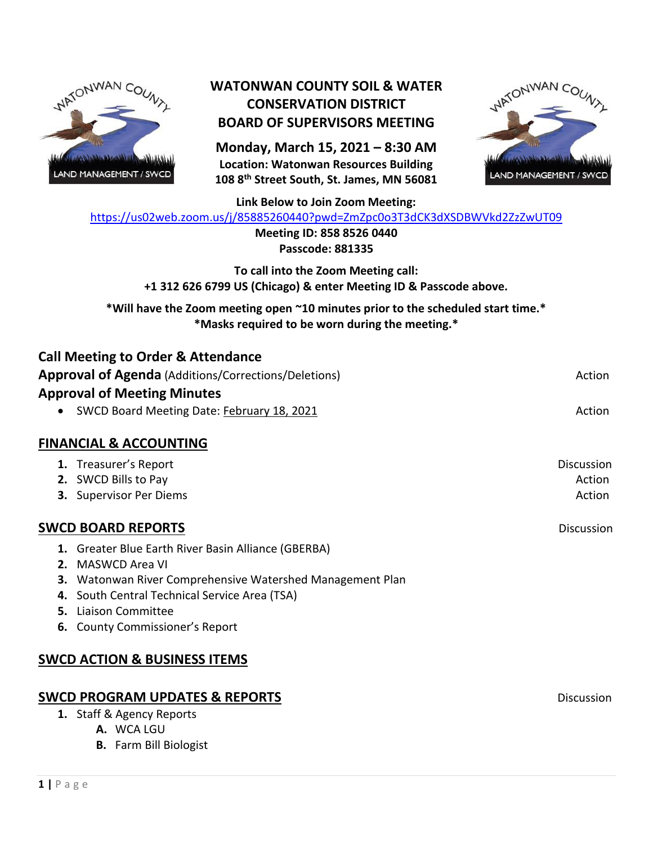

## **WATONWAN COUNTY SOIL & WATER CONSERVATION DISTRICT BOARD OF SUPERVISORS MEETING**

**Monday, March 15, 2021 – 8:30 AM Location: Watonwan Resources Building 108 8th Street South, St. James, MN 56081**



**Link Below to Join Zoom Meeting:**

<https://us02web.zoom.us/j/85885260440?pwd=ZmZpc0o3T3dCK3dXSDBWVkd2ZzZwUT09>

**Meeting ID: 858 8526 0440 Passcode: 881335**

**To call into the Zoom Meeting call: +1 312 626 6799 US (Chicago) & enter Meeting ID & Passcode above.**

**\*Will have the Zoom meeting open ~10 minutes prior to the scheduled start time.\* \*Masks required to be worn during the meeting.\***

| <b>Call Meeting to Order &amp; Attendance</b>               |                   |
|-------------------------------------------------------------|-------------------|
| <b>Approval of Agenda</b> (Additions/Corrections/Deletions) | Action            |
| <b>Approval of Meeting Minutes</b>                          |                   |
| SWCD Board Meeting Date: February 18, 2021                  | Action            |
| <b>FINANCIAL &amp; ACCOUNTING</b>                           |                   |
| 1. Treasurer's Report                                       | <b>Discussion</b> |
| 2. SWCD Bills to Pay                                        | Action            |
| 3. Supervisor Per Diems                                     | Action            |
| <b>SWCD BOARD REPORTS</b>                                   | <b>Discussion</b> |
| 1. Greater Blue Earth River Basin Alliance (GBERBA)         |                   |
| <b>2.</b> MASWCD Area VI                                    |                   |
| 3. Watonwan River Comprehensive Watershed Management Plan   |                   |
| 4. South Central Technical Service Area (TSA)               |                   |
| <b>5.</b> Liaison Committee                                 |                   |
| <b>6.</b> County Commissioner's Report                      |                   |
| <b>SWCD ACTION &amp; BUSINESS ITEMS</b>                     |                   |
|                                                             |                   |
| <b>SWCD PROGRAM UPDATES &amp; REPORTS</b>                   | <b>Discussion</b> |
| 1. Staff & Agency Reports                                   |                   |

**A.** WCA LGU

**B.** Farm Bill Biologist